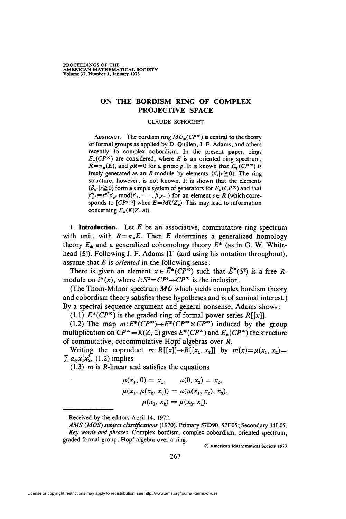## ON THE BORDISM RING OF COMPLEX PROJECTIVE SPACE

## CLAUDE SCHOCHET

ABSTRACT. The bordism ring  $MU_*(CP^{\infty})$  is central to the theory of formal groups as applied by D. Quillen, J. F. Adams, and others recently to complex cobordism. In the present paper, rings  $E_*(CP^{\infty})$  are considered, where E is an oriented ring spectrum,  $R=\pi_*(E)$ , and  $pR=0$  for a prime p. It is known that  $E_*(CP^{\infty})$  is freely generated as an *R*-module by elements  $\{\beta_r|r\geq0\}$ . The ring structure, however, is not known. It is shown that the elements  $\{\beta_{p^r} | r \ge 0\}$  form a simple system of generators for  $E_{\star}(CP^{\infty})$  and that  $\beta_{p}^{p} \equiv s^{p} \beta_{p}$ , mod $(\beta_{1}, \cdots, \beta_{p}^{p-1})$  for an element  $s \in R$  (which corresponds to  $[CP^{p-1}]$  when  $E=MUZ_p$ ). This may lead to information concerning  $E_*(K(Z, n))$ .

1. Introduction. Let  $E$  be an associative, commutative ring spectrum with unit, with  $R = \pi_*E$ . Then E determines a generalized homology theory  $E_*$  and a generalized cohomology theory  $E^*$  (as in G. W. Whitehead [5]). Following J. F. Adams [1] (and using his notation throughout), assume that  $E$  is *oriented* in the following sense:

There is given an element  $x \in \tilde{E}^*(CP)$  such that  $\tilde{E}^*(S^2)$  is a free Rmodule on  $i^*(x)$ , where  $i: S^2 = CP^1 \rightarrow CP^{\infty}$  is the inclusion.

(The Thom-Milnor spectrum  $MU$  which yields complex bordism theory and cobordism theory satisfies these hypotheses and is of seminal interest.) By a spectral sequence argument and general nonsense, Adams shows:

(1.1)  $E^*(CP^{\infty})$  is the graded ring of formal power series  $R[[x]]$ .

(1.2) The map  $m: E^*(CP^{\infty}) \to E^*(CP^{\infty} \times CP^{\infty})$  induced by the group multiplication on  $CP^{\infty} = K(Z, 2)$  gives  $E^*(CP^{\infty})$  and  $E_*(CP^{\infty})$  the structure of commutative, cocommutative Hopf algebras over R.

Writing the coproduct  $m:R[[x]]\rightarrow R[[x_1, x_2]]$  by  $m(x)=\mu(x_1, x_2)=$  $\sum a_{ij}x_1^ix_2^j$ , (1.2) implies

 $(1.3)$  *m* is *R*-linear and satisfies the equations

$$
\mu(x_1, 0) = x_1, \qquad \mu(0, x_2) = x_2, \n\mu(x_1, \mu(x_2, x_3)) = \mu(\mu(x_1, x_2), x_3), \n\mu(x_1, x_2) = \mu(x_2, x_1).
$$

Received by the editors April 14, 1972.

© American Mathematical Society 1973

AMS (MOS) subject classifications (1970). Primary 57D90, 57F05; Secondary 14L05. Key words and phrases. Complex bordism, complex cobordism, oriented spectrum, graded formal group, Hopf algebra over a ring.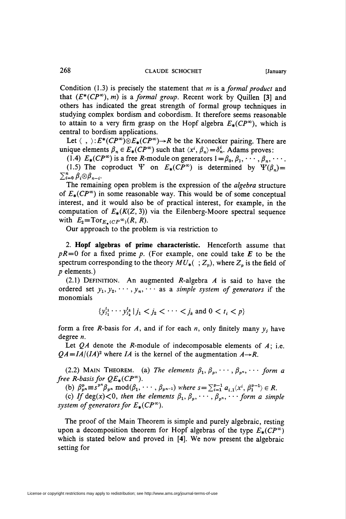Condition  $(1.3)$  is precisely the statement that m is a formal product and that  $(E^*(CP^{\infty}), m)$  is a formal group. Recent work by Quillen [3] and others has indicated the great strength of formal group techniques in studying complex bordism and cobordism. It therefore seems reasonable to attain to a very firm grasp on the Hopf algebra  $E_*(CP^\infty)$ , which is central to bordism applications.

Let  $\langle , \rangle: E^*(CP^{\infty}) \otimes E_*(CP^{\infty}) \rightarrow R$  be the Kronecker pairing. There are unique elements  $\beta_n \in E_*(CP^{\infty})$  such that  $\langle x^i, \beta_n \rangle = \delta_n^i$ . Adams proves:

(1.4)  $E_*(CP^{\infty})$  is a free R-module on generators  $1 = \beta_0, \beta_1, \cdots, \beta_n, \cdots$ . (1.5) The coproduct  $\Psi$  on  $E_*(CP^{\infty})$  is determined by  $\Psi(\beta_n)=$  $\sum_{i=0}^n \beta_i \otimes \beta_{n-i}.$ 

The remaining open problem is the expression of the *algebra* structure of  $E_*(CP^{\infty})$  in some reasonable way. This would be of some conceptual interest, and it would also be of practical interest, for example, in the computation of  $E_*(K(Z, 3))$  via the Eilenberg-Moore spectral sequence with  $E_2 = \text{Tor}_{E_{\pm}(CP^{\infty})}(R, R)$ .

Our approach to the problem is via restriction to

2. Hopf algebras of prime characteristic. Henceforth assume that  $pR=0$  for a fixed prime p. (For example, one could take E to be the spectrum corresponding to the theory  $MU_*([-Z_n])$ , where  $Z_n$  is the field of p elements.)

(2.1) DEFINITION. An augmented R-algebra  $A$  is said to have the ordered set  $y_1, y_2, \dots, y_n, \dots$  as a simple system of generators if the monomials

 $\{y_{j_1}^{t_1} \cdots y_{j_k}^{t_k} | j_1 < j_2 < \cdots < j_k \text{ and } 0 < t_i < p\}$ 

form a free R-basis for A, and if for each  $n$ , only finitely many  $y_j$  have degree n.

Let  $QA$  denote the R-module of indecomposable elements of  $A$ ; i.e.  $QA = IA/(IA)^2$  where IA is the kernel of the augmentation  $A \rightarrow R$ .

(2.2) MAIN THEOREM. (a) The elements  $\beta_1, \beta_p, \cdots, \beta_{p^m}, \cdots$  form a free R-basis for  $QE_*(CP^{\infty})$ .

(b)  $\beta_{p}^p \equiv s^{p^n} \beta_{p^n} \mod (\beta_1, \cdots, \beta_{p^{n-1}})$  where  $s = \sum_{i=1}^{p-1} a_{i,1}(x^i, \beta_1^{p-1}) \in R$ .

(c) If deg(x) < 0, then the elements  $\beta_1, \beta_p, \cdots, \beta_{p^n}, \cdots$  form a simple system of generators for  $E_*(CP^{\infty})$ .

The proof of the Main Theorem is simple and purely algebraic, resting upon a decomposition theorem for Hopf algebras of the type  $E_*(CP^{\infty})$ which is stated below and proved in [4]. We now present the algebraic setting for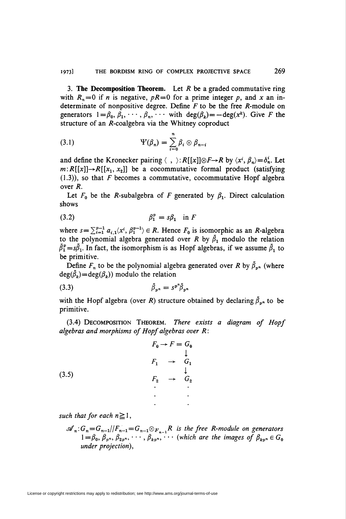3. The Decomposition Theorem. Let  $R$  be a graded commutative ring with  $R_n=0$  if n is negative,  $pR=0$  for a prime integer p, and x an indeterminate of nonpositive degree. Define  $F$  to be the free  $R$ -module on generators  $1 = \beta_0, \beta_1, \cdots, \beta_n, \cdots$  with  $deg(\beta_k) = -deg(x^k)$ . Give F the structure of an  $R$ -coalgebra via the Whitney coproduct

(3.1) 
$$
\Psi(\beta_n) = \sum_{i=0}^n \beta_i \otimes \beta_{n-i}
$$

and define the Kronecker pairing  $\langle , \rangle :R[[x]]\otimes F\rightarrow R$  by  $\langle x^i, \beta_n\rangle = \delta_n^i$ . Let  $m:R[[x]]\rightarrow R[[x_1, x_2]]$  be a cocommutative formal product (satisfying  $(1.3)$ , so that F becomes a commutative, cocommutative Hopf algebra over R.

Let  $F_0$  be the *R*-subalgebra of *F* generated by  $\beta_1$ . Direct calculation shows

$$
\beta_1^p = s\beta_1 \quad \text{in } F
$$

where  $s = \sum_{i=1}^{p-1} a_{i,1} \langle x^i, \beta_1^{p-1} \rangle \in R$ . Hence  $F_0$  is isomorphic as an R-algebra to the polynomial algebra generated over R by  $\tilde{\beta}_1$  modulo the relation  $\bar{\beta}_1^p = s\bar{\beta}_1$ . In fact, the isomorphism is as Hopf algebras, if we assume  $\bar{\beta}_1$  to be primitive.

Define  $F_n$  to be the polynomial algebra generated over R by  $\bar{\beta}_{nn}$  (where  $deg(\bar{\beta}_k)=deg(\beta_k)$  modulo the relation

$$
\bar{\beta}_{p^n} = s^{p^n} \bar{\beta}_{p^n}
$$

with the Hopf algebra (over R) structure obtained by declaring  $\bar{\beta}_{n}$  to be primitive.

(3.4) Decomposition Theorem. There exists a diagram of Hopf algebras and morphisms of Hopf algebras over R:

$$
F_0 \rightarrow F = G_0
$$
\n
$$
\downarrow
$$
\n
$$
F_1 \rightarrow G_1
$$
\n
$$
\downarrow
$$
\n
$$
F_2 \rightarrow G_2
$$
\n
$$
\vdots
$$

such that for each  $n \ge 1$ ,

$$
\mathscr{A}_n: G_n = G_{n-1}/|F_{n-1} = G_{n-1} \otimes F_{n-1}R
$$
 is the free R-module on generators  
  $1 = \beta_0, \beta_{p^n}, \beta_{2p^n}, \cdots, \beta_{kp^n}, \cdots$  (which are the images of  $\beta_{kp^n} \in G_0$   
 under projection),